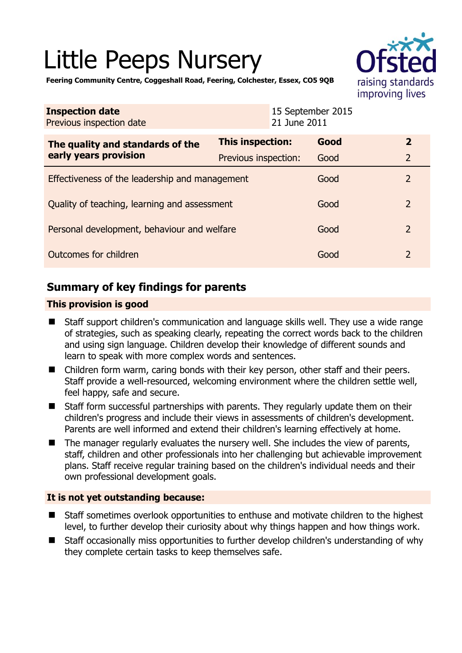# Little Peeps Nursery



**Feering Community Centre, Coggeshall Road, Feering, Colchester, Essex, CO5 9QB** 

| <b>Inspection date</b><br>Previous inspection date        | 21 June 2011            | 15 September 2015 |                |
|-----------------------------------------------------------|-------------------------|-------------------|----------------|
| The quality and standards of the<br>early years provision | <b>This inspection:</b> | Good              | $\overline{2}$ |
|                                                           | Previous inspection:    | Good              | $\overline{2}$ |
| Effectiveness of the leadership and management            |                         | Good              | $\mathcal{P}$  |
| Quality of teaching, learning and assessment              |                         | Good              | $\overline{2}$ |
| Personal development, behaviour and welfare               |                         | Good              | $\overline{2}$ |
| Outcomes for children                                     |                         | Good              | $\overline{2}$ |

# **Summary of key findings for parents**

## **This provision is good**

- Staff support children's communication and language skills well. They use a wide range of strategies, such as speaking clearly, repeating the correct words back to the children and using sign language. Children develop their knowledge of different sounds and learn to speak with more complex words and sentences.
- Children form warm, caring bonds with their key person, other staff and their peers. Staff provide a well-resourced, welcoming environment where the children settle well, feel happy, safe and secure.
- Staff form successful partnerships with parents. They regularly update them on their children's progress and include their views in assessments of children's development. Parents are well informed and extend their children's learning effectively at home.
- $\blacksquare$  The manager regularly evaluates the nursery well. She includes the view of parents, staff, children and other professionals into her challenging but achievable improvement plans. Staff receive regular training based on the children's individual needs and their own professional development goals.

## **It is not yet outstanding because:**

- Staff sometimes overlook opportunities to enthuse and motivate children to the highest level, to further develop their curiosity about why things happen and how things work.
- Staff occasionally miss opportunities to further develop children's understanding of why they complete certain tasks to keep themselves safe.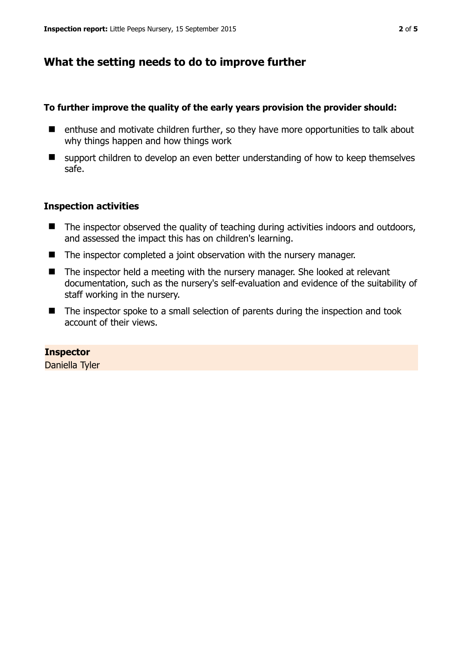## **What the setting needs to do to improve further**

## **To further improve the quality of the early years provision the provider should:**

- enthuse and motivate children further, so they have more opportunities to talk about why things happen and how things work
- support children to develop an even better understanding of how to keep themselves safe.

## **Inspection activities**

- The inspector observed the quality of teaching during activities indoors and outdoors, and assessed the impact this has on children's learning.
- The inspector completed a joint observation with the nursery manager.
- The inspector held a meeting with the nursery manager. She looked at relevant documentation, such as the nursery's self-evaluation and evidence of the suitability of staff working in the nursery.
- The inspector spoke to a small selection of parents during the inspection and took account of their views.

**Inspector** 

Daniella Tyler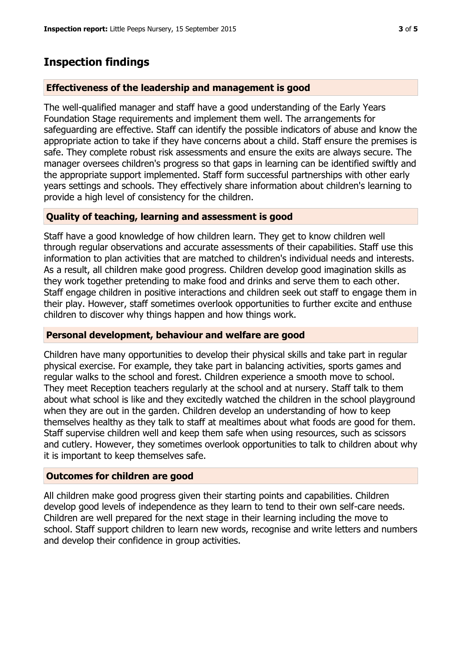## **Inspection findings**

#### **Effectiveness of the leadership and management is good**

The well-qualified manager and staff have a good understanding of the Early Years Foundation Stage requirements and implement them well. The arrangements for safeguarding are effective. Staff can identify the possible indicators of abuse and know the appropriate action to take if they have concerns about a child. Staff ensure the premises is safe. They complete robust risk assessments and ensure the exits are always secure. The manager oversees children's progress so that gaps in learning can be identified swiftly and the appropriate support implemented. Staff form successful partnerships with other early years settings and schools. They effectively share information about children's learning to provide a high level of consistency for the children.

#### **Quality of teaching, learning and assessment is good**

Staff have a good knowledge of how children learn. They get to know children well through regular observations and accurate assessments of their capabilities. Staff use this information to plan activities that are matched to children's individual needs and interests. As a result, all children make good progress. Children develop good imagination skills as they work together pretending to make food and drinks and serve them to each other. Staff engage children in positive interactions and children seek out staff to engage them in their play. However, staff sometimes overlook opportunities to further excite and enthuse children to discover why things happen and how things work.

#### **Personal development, behaviour and welfare are good**

Children have many opportunities to develop their physical skills and take part in regular physical exercise. For example, they take part in balancing activities, sports games and regular walks to the school and forest. Children experience a smooth move to school. They meet Reception teachers regularly at the school and at nursery. Staff talk to them about what school is like and they excitedly watched the children in the school playground when they are out in the garden. Children develop an understanding of how to keep themselves healthy as they talk to staff at mealtimes about what foods are good for them. Staff supervise children well and keep them safe when using resources, such as scissors and cutlery. However, they sometimes overlook opportunities to talk to children about why it is important to keep themselves safe.

### **Outcomes for children are good**

All children make good progress given their starting points and capabilities. Children develop good levels of independence as they learn to tend to their own self-care needs. Children are well prepared for the next stage in their learning including the move to school. Staff support children to learn new words, recognise and write letters and numbers and develop their confidence in group activities.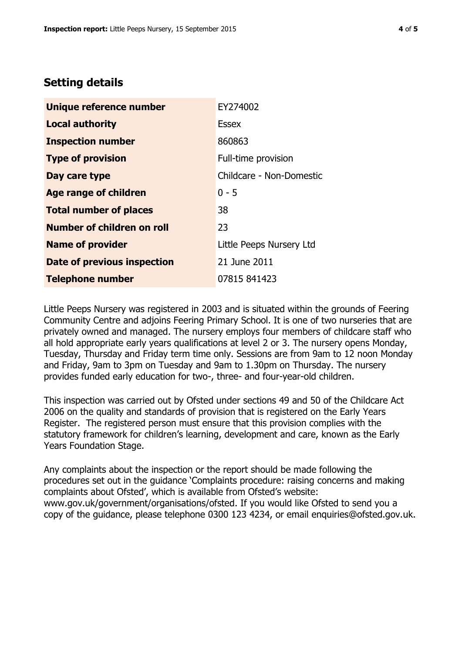# **Setting details**

| Unique reference number       | EY274002                 |
|-------------------------------|--------------------------|
| <b>Local authority</b>        | <b>Essex</b>             |
| <b>Inspection number</b>      | 860863                   |
| <b>Type of provision</b>      | Full-time provision      |
| Day care type                 | Childcare - Non-Domestic |
| <b>Age range of children</b>  | $0 - 5$                  |
| <b>Total number of places</b> | 38                       |
| Number of children on roll    | 23                       |
| <b>Name of provider</b>       | Little Peeps Nursery Ltd |
| Date of previous inspection   | 21 June 2011             |
| <b>Telephone number</b>       | 07815 841423             |

Little Peeps Nursery was registered in 2003 and is situated within the grounds of Feering Community Centre and adjoins Feering Primary School. It is one of two nurseries that are privately owned and managed. The nursery employs four members of childcare staff who all hold appropriate early years qualifications at level 2 or 3. The nursery opens Monday, Tuesday, Thursday and Friday term time only. Sessions are from 9am to 12 noon Monday and Friday, 9am to 3pm on Tuesday and 9am to 1.30pm on Thursday. The nursery provides funded early education for two-, three- and four-year-old children.

This inspection was carried out by Ofsted under sections 49 and 50 of the Childcare Act 2006 on the quality and standards of provision that is registered on the Early Years Register. The registered person must ensure that this provision complies with the statutory framework for children's learning, development and care, known as the Early Years Foundation Stage.

Any complaints about the inspection or the report should be made following the procedures set out in the guidance 'Complaints procedure: raising concerns and making complaints about Ofsted', which is available from Ofsted's website: www.gov.uk/government/organisations/ofsted. If you would like Ofsted to send you a copy of the guidance, please telephone 0300 123 4234, or email enquiries@ofsted.gov.uk.